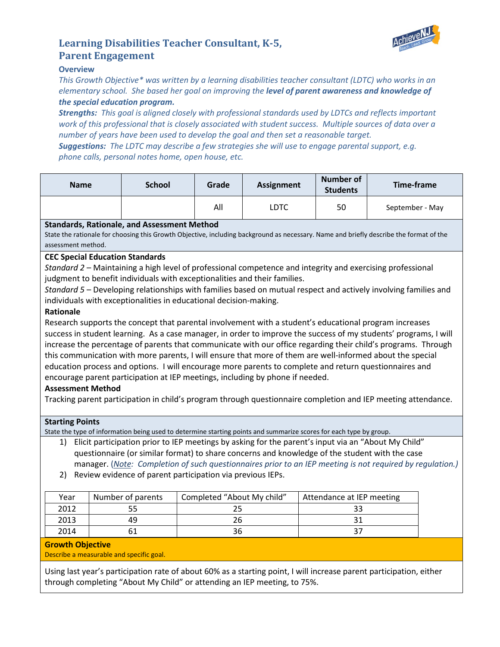

# **Learning Disabilities Teacher Consultant, K-5, Parent Engagement**

## **Overview**

*This Growth Objective\* was written by a learning disabilities teacher consultant (LDTC) who works in an elementary school. She based her goal on improving the level of parent awareness and knowledge of the special education program.* 

*Strengths: This goal is aligned closely with professional standards used by LDTCs and reflects important work of this professional that is closely associated with student success. Multiple sources of data over a number of years have been used to develop the goal and then set a reasonable target.*

*Suggestions: The LDTC may describe a few strategies she will use to engage parental support, e.g. phone calls, personal notes home, open house, etc.*

| <b>Name</b> | <b>School</b> | Grade | <b>Assignment</b> | <b>Number of</b><br><b>Students</b> | Time-frame      |
|-------------|---------------|-------|-------------------|-------------------------------------|-----------------|
|             |               | All   | LDTC              | 50                                  | September - May |

## **Standards, Rationale, and Assessment Method**

State the rationale for choosing this Growth Objective, including background as necessary. Name and briefly describe the format of the assessment method.

## **CEC Special Education Standards**

*Standard 2* – Maintaining a high level of professional competence and integrity and exercising professional judgment to benefit individuals with exceptionalities and their families.

*Standard 5* – Developing relationships with families based on mutual respect and actively involving families and individuals with exceptionalities in educational decision-making.

#### **Rationale**

Research supports the concept that parental involvement with a student's educational program increases success in student learning. As a case manager, in order to improve the success of my students' programs, I will increase the percentage of parents that communicate with our office regarding their child's programs. Through this communication with more parents, I will ensure that more of them are well-informed about the special education process and options. I will encourage more parents to complete and return questionnaires and encourage parent participation at IEP meetings, including by phone if needed.

# **Assessment Method**

Tracking parent participation in child's program through questionnaire completion and IEP meeting attendance.

#### **Starting Points**

State the type of information being used to determine starting points and summarize scores for each type by group.

1) Elicit participation prior to IEP meetings by asking for the parent's input via an "About My Child" questionnaire (or similar format) to share concerns and knowledge of the student with the case manager. (*Note : Completion of such questionnaires prior to an IEP meeting is not required by regulation.)*

2) Review evidence of parent participation via previous IEPs.

| Year | Number of parents | Completed "About My child" | Attendance at IEP meeting |
|------|-------------------|----------------------------|---------------------------|
| 2012 |                   |                            |                           |
| 2013 | 49                |                            |                           |
| 2014 |                   | 36                         |                           |

#### **Growth Objective**

Describe a measurable and specific goal.

Using last year's participation rate of about 60% as a starting point, I will increase parent participation, either through completing "About My Child" or attending an IEP meeting, to 75%.